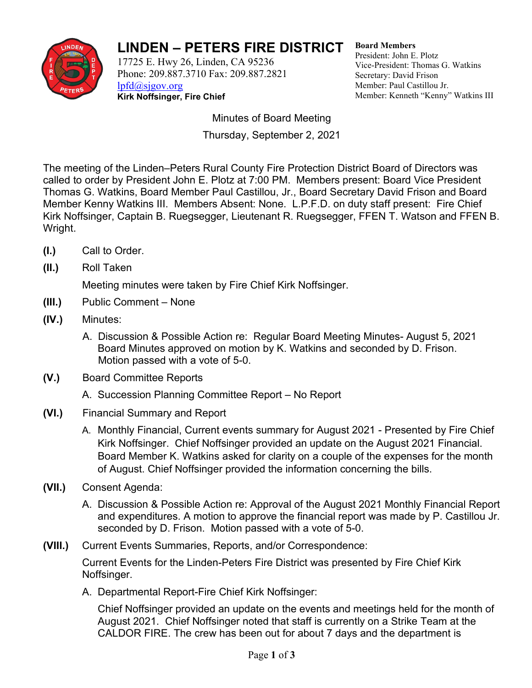

## **LINDEN – PETERS FIRE DISTRICT**

17725 E. Hwy 26, Linden, CA 95236 Phone: 209.887.3710 Fax: 209.887.2821 [lpfd@sjgov.org](mailto:lpfd@sjgov.org) **Kirk Noffsinger, Fire Chief**

**Board Members** President: John E. Plotz Vice-President: Thomas G. Watkins Secretary: David Frison Member: Paul Castillou Jr. Member: Kenneth "Kenny" Watkins III

Minutes of Board Meeting Thursday, September 2, 2021

The meeting of the Linden–Peters Rural County Fire Protection District Board of Directors was called to order by President John E. Plotz at 7:00 PM. Members present: Board Vice President Thomas G. Watkins, Board Member Paul Castillou, Jr., Board Secretary David Frison and Board Member Kenny Watkins III. Members Absent: None. L.P.F.D. on duty staff present: Fire Chief Kirk Noffsinger, Captain B. Ruegsegger, Lieutenant R. Ruegsegger, FFEN T. Watson and FFEN B. Wright.

- **(I.)** Call to Order.
- **(II.)** Roll Taken

Meeting minutes were taken by Fire Chief Kirk Noffsinger.

- **(III.)** Public Comment None
- **(IV.)** Minutes:
	- A. Discussion & Possible Action re: Regular Board Meeting Minutes- August 5, 2021 Board Minutes approved on motion by K. Watkins and seconded by D. Frison. Motion passed with a vote of 5-0.
- **(V.)** Board Committee Reports
	- A. Succession Planning Committee Report No Report
- **(VI.)** Financial Summary and Report
	- A. Monthly Financial, Current events summary for August 2021 Presented by Fire Chief Kirk Noffsinger. Chief Noffsinger provided an update on the August 2021 Financial. Board Member K. Watkins asked for clarity on a couple of the expenses for the month of August. Chief Noffsinger provided the information concerning the bills.
- **(VII.)** Consent Agenda:
	- A. Discussion & Possible Action re: Approval of the August 2021 Monthly Financial Report and expenditures. A motion to approve the financial report was made by P. Castillou Jr. seconded by D. Frison. Motion passed with a vote of 5-0.
- **(VIII.)** Current Events Summaries, Reports, and/or Correspondence:

Current Events for the Linden-Peters Fire District was presented by Fire Chief Kirk Noffsinger.

A. Departmental Report-Fire Chief Kirk Noffsinger:

Chief Noffsinger provided an update on the events and meetings held for the month of August 2021. Chief Noffsinger noted that staff is currently on a Strike Team at the CALDOR FIRE. The crew has been out for about 7 days and the department is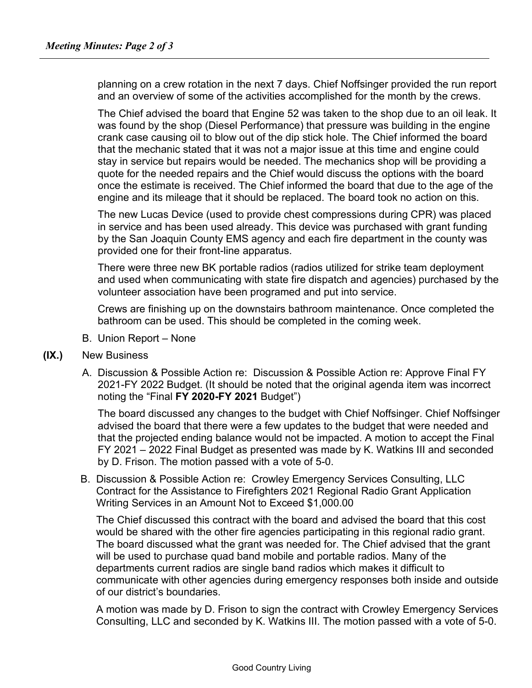planning on a crew rotation in the next 7 days. Chief Noffsinger provided the run report and an overview of some of the activities accomplished for the month by the crews.

The Chief advised the board that Engine 52 was taken to the shop due to an oil leak. It was found by the shop (Diesel Performance) that pressure was building in the engine crank case causing oil to blow out of the dip stick hole. The Chief informed the board that the mechanic stated that it was not a major issue at this time and engine could stay in service but repairs would be needed. The mechanics shop will be providing a quote for the needed repairs and the Chief would discuss the options with the board once the estimate is received. The Chief informed the board that due to the age of the engine and its mileage that it should be replaced. The board took no action on this.

The new Lucas Device (used to provide chest compressions during CPR) was placed in service and has been used already. This device was purchased with grant funding by the San Joaquin County EMS agency and each fire department in the county was provided one for their front-line apparatus.

There were three new BK portable radios (radios utilized for strike team deployment and used when communicating with state fire dispatch and agencies) purchased by the volunteer association have been programed and put into service.

Crews are finishing up on the downstairs bathroom maintenance. Once completed the bathroom can be used. This should be completed in the coming week.

- B. Union Report None
- **(IX.)** New Business
	- A. Discussion & Possible Action re: Discussion & Possible Action re: Approve Final FY 2021-FY 2022 Budget. (It should be noted that the original agenda item was incorrect noting the "Final **FY 2020-FY 2021** Budget")

The board discussed any changes to the budget with Chief Noffsinger. Chief Noffsinger advised the board that there were a few updates to the budget that were needed and that the projected ending balance would not be impacted. A motion to accept the Final FY 2021 – 2022 Final Budget as presented was made by K. Watkins III and seconded by D. Frison. The motion passed with a vote of 5-0.

B. Discussion & Possible Action re: Crowley Emergency Services Consulting, LLC Contract for the Assistance to Firefighters 2021 Regional Radio Grant Application Writing Services in an Amount Not to Exceed \$1,000.00

The Chief discussed this contract with the board and advised the board that this cost would be shared with the other fire agencies participating in this regional radio grant. The board discussed what the grant was needed for. The Chief advised that the grant will be used to purchase quad band mobile and portable radios. Many of the departments current radios are single band radios which makes it difficult to communicate with other agencies during emergency responses both inside and outside of our district's boundaries.

A motion was made by D. Frison to sign the contract with Crowley Emergency Services Consulting, LLC and seconded by K. Watkins III. The motion passed with a vote of 5-0.